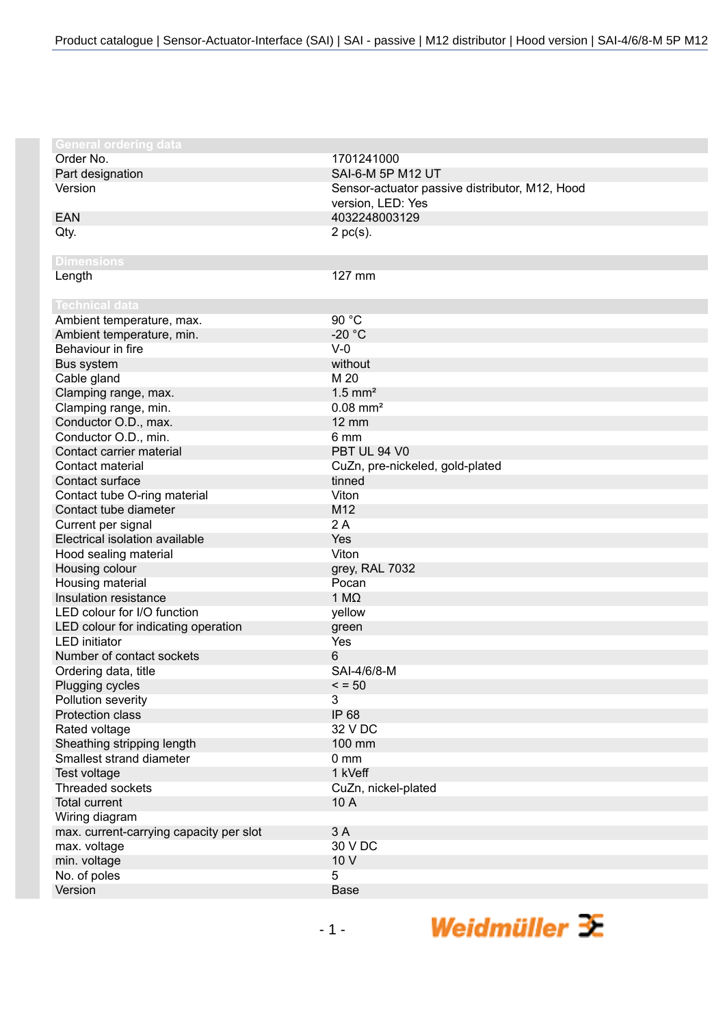| <b>General ordering data</b>            |                                                |
|-----------------------------------------|------------------------------------------------|
| Order No.                               | 1701241000                                     |
| Part designation                        | SAI-6-M 5P M12 UT                              |
| Version                                 | Sensor-actuator passive distributor, M12, Hood |
|                                         | version, LED: Yes                              |
| <b>EAN</b>                              | 4032248003129                                  |
| Qty.                                    | $2$ pc(s).                                     |
|                                         |                                                |
| <b>Dimensions</b>                       |                                                |
| Length                                  | 127 mm                                         |
|                                         |                                                |
| <b>Technical data</b>                   |                                                |
| Ambient temperature, max.               | 90 °C                                          |
| Ambient temperature, min.               | $-20$ °C                                       |
| Behaviour in fire                       | $V-0$                                          |
| Bus system                              | without                                        |
| Cable gland                             | M 20                                           |
| Clamping range, max.                    | $1.5$ mm <sup>2</sup>                          |
| Clamping range, min.                    | $0.08$ mm <sup>2</sup>                         |
| Conductor O.D., max.                    | $12 \text{ mm}$                                |
| Conductor O.D., min.                    | 6 mm                                           |
| Contact carrier material                | PBT UL 94 V0                                   |
| Contact material                        | CuZn, pre-nickeled, gold-plated                |
| Contact surface                         | tinned                                         |
| Contact tube O-ring material            | Viton                                          |
| Contact tube diameter                   | M12                                            |
| Current per signal                      | 2A                                             |
| Electrical isolation available          | Yes                                            |
| Hood sealing material                   | Viton                                          |
| Housing colour                          | grey, RAL 7032                                 |
| Housing material                        | Pocan                                          |
| Insulation resistance                   | 1 $M\Omega$                                    |
| LED colour for I/O function             | yellow                                         |
| LED colour for indicating operation     | green                                          |
| <b>LED</b> initiator                    | Yes                                            |
| Number of contact sockets               | 6                                              |
| Ordering data, title                    | SAI-4/6/8-M                                    |
| Plugging cycles                         | $\le$ = 50                                     |
| Pollution severity                      | 3                                              |
| <b>Protection class</b>                 | IP 68                                          |
| Rated voltage                           | 32 V DC                                        |
| Sheathing stripping length              | 100 mm                                         |
| Smallest strand diameter                | 0 <sub>mm</sub>                                |
| Test voltage                            | 1 kVeff                                        |
| Threaded sockets                        | CuZn, nickel-plated                            |
| <b>Total current</b>                    | 10 A                                           |
| Wiring diagram                          |                                                |
| max. current-carrying capacity per slot | 3A                                             |
| max. voltage                            | 30 V DC                                        |
| min. voltage                            | 10 V                                           |
| No. of poles                            | 5                                              |
| Version                                 | Base                                           |

Weidmüller  $\mathcal{\mathcal{F}}$